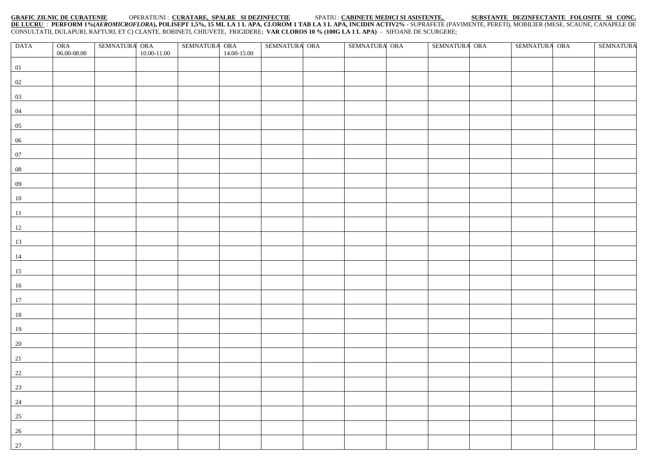## **GRAFIC ZILNIC DE CURATENIE** OPERATIUNI : **CURATARE, SPALRE SI DEZINFECTIE** SPATIU : **CABINETE MEDICI SI ASISTENTE, SUBSTANTE DEZINFECTANTE FOLOSITE SI CONC.**

<u>DE LUCRU</u> : PERFORM 1%(*AEROMICROFLORA*), POLISEPT 1,5%, 15 ML LA 1 L APA, CLOROM 1 TAB LA 3 L APA, INCIDIN ACTIV2% - SUPRAFETE (PAVIMENTE, PERETI), MOBILIER (MESE, SCAUNE, CANAPELE DE CONSULTATII, DULAPURI, RAFTURI, ET C) CLANTE, ROBINETI, CHIUVETE, FRIGIDERE; **VAR CLOROS 10 % (100G LA 1 L APA)** – SIFOANE DE SCURGERE;

| $\begin{array}{c} \text{ORA} \\ 06.00\text{-}08.00 \end{array}$<br>10.00-11.00<br>14.00-15.00<br>01<br>02 | SEMNATURA ORA<br><b>SEMNATURA</b> |
|-----------------------------------------------------------------------------------------------------------|-----------------------------------|
|                                                                                                           |                                   |
|                                                                                                           |                                   |
|                                                                                                           |                                   |
|                                                                                                           |                                   |
| 03                                                                                                        |                                   |
| 04                                                                                                        |                                   |
| $\overline{05}$                                                                                           |                                   |
| $06\phantom{a}$                                                                                           |                                   |
| 07                                                                                                        |                                   |
| ${\bf 08}$                                                                                                |                                   |
| 09                                                                                                        |                                   |
| 10                                                                                                        |                                   |
| 11                                                                                                        |                                   |
| 12                                                                                                        |                                   |
| 13                                                                                                        |                                   |
| 14                                                                                                        |                                   |
| 15                                                                                                        |                                   |
| 16                                                                                                        |                                   |
| 17                                                                                                        |                                   |
| 18                                                                                                        |                                   |
| 19                                                                                                        |                                   |
| 20                                                                                                        |                                   |
| 21                                                                                                        |                                   |
| $\frac{22}{2}$                                                                                            |                                   |
| $\frac{23}{2}$                                                                                            |                                   |
| $\frac{24}{1}$                                                                                            |                                   |
| $\boxed{25}$                                                                                              |                                   |
| $\frac{26}{1}$                                                                                            |                                   |
| $\frac{1}{27}$                                                                                            |                                   |